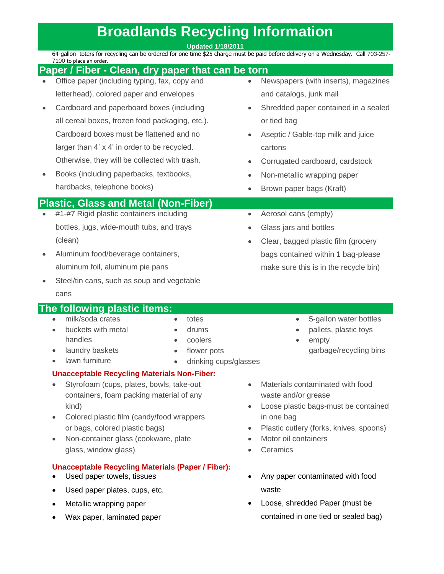## **Broadlands Recycling Information**

**Updated 1/18/2011**

64-gallon toters for recycling can be ordered for one time \$25 charge must be paid before delivery on a Wednesday. Call 703-257- 7100 to place an order.

|                                             | 7 TUU tu bidte dii uruer.                                                                                                                                                                                                                                              |           |                                                                                                                                                                                              |
|---------------------------------------------|------------------------------------------------------------------------------------------------------------------------------------------------------------------------------------------------------------------------------------------------------------------------|-----------|----------------------------------------------------------------------------------------------------------------------------------------------------------------------------------------------|
|                                             | Paper / Fiber - Clean, dry paper that can be torn                                                                                                                                                                                                                      |           |                                                                                                                                                                                              |
|                                             | Office paper (including typing, fax, copy and                                                                                                                                                                                                                          |           | Newspapers (with inserts), magazines                                                                                                                                                         |
|                                             | letterhead), colored paper and envelopes                                                                                                                                                                                                                               |           | and catalogs, junk mail                                                                                                                                                                      |
|                                             | Cardboard and paperboard boxes (including                                                                                                                                                                                                                              | $\bullet$ | Shredded paper contained in a sealed                                                                                                                                                         |
|                                             | all cereal boxes, frozen food packaging, etc.).                                                                                                                                                                                                                        |           | or tied bag                                                                                                                                                                                  |
|                                             | Cardboard boxes must be flattened and no                                                                                                                                                                                                                               |           | Aseptic / Gable-top milk and juice                                                                                                                                                           |
|                                             | larger than 4' x 4' in order to be recycled.                                                                                                                                                                                                                           |           | cartons                                                                                                                                                                                      |
|                                             | Otherwise, they will be collected with trash.                                                                                                                                                                                                                          | $\bullet$ | Corrugated cardboard, cardstock                                                                                                                                                              |
|                                             | Books (including paperbacks, textbooks,                                                                                                                                                                                                                                | $\bullet$ | Non-metallic wrapping paper                                                                                                                                                                  |
|                                             | hardbacks, telephone books)                                                                                                                                                                                                                                            |           | Brown paper bags (Kraft)                                                                                                                                                                     |
| <b>Plastic, Glass and Metal (Non-Fiber)</b> |                                                                                                                                                                                                                                                                        |           |                                                                                                                                                                                              |
|                                             | #1-#7 Rigid plastic containers including                                                                                                                                                                                                                               | $\bullet$ | Aerosol cans (empty)                                                                                                                                                                         |
|                                             | bottles, jugs, wide-mouth tubs, and trays                                                                                                                                                                                                                              | $\bullet$ | Glass jars and bottles                                                                                                                                                                       |
|                                             | (clean)                                                                                                                                                                                                                                                                |           | Clear, bagged plastic film (grocery                                                                                                                                                          |
|                                             | Aluminum food/beverage containers,                                                                                                                                                                                                                                     |           | bags contained within 1 bag-please                                                                                                                                                           |
|                                             | aluminum foil, aluminum pie pans                                                                                                                                                                                                                                       |           | make sure this is in the recycle bin)                                                                                                                                                        |
|                                             | Steel/tin cans, such as soup and vegetable                                                                                                                                                                                                                             |           |                                                                                                                                                                                              |
|                                             | cans                                                                                                                                                                                                                                                                   |           |                                                                                                                                                                                              |
|                                             | The following plastic items:                                                                                                                                                                                                                                           |           |                                                                                                                                                                                              |
|                                             | milk/soda crates<br>totes<br>buckets with metal<br>drums<br>$\bullet$<br>$\bullet$<br>handles<br>coolers<br>laundry baskets<br>flower pots<br>$\bullet$<br>$\bullet$<br>lawn furniture<br>drinking cups/glasses                                                        |           | 5-gallon water bottles<br>$\bullet$<br>pallets, plastic toys<br>empty<br>garbage/recycling bins                                                                                              |
|                                             | <b>Unacceptable Recycling Materials Non-Fiber:</b>                                                                                                                                                                                                                     |           |                                                                                                                                                                                              |
|                                             | Styrofoam (cups, plates, bowls, take-out<br>containers, foam packing material of any<br>kind)<br>Colored plastic film (candy/food wrappers<br>$\bullet$<br>or bags, colored plastic bags)<br>Non-container glass (cookware, plate<br>$\bullet$<br>glass, window glass) |           | Materials contaminated with food<br>waste and/or grease<br>Loose plastic bags-must be contained<br>in one bag<br>Plastic cutlery (forks, knives, spoons)<br>Motor oil containers<br>Ceramics |
|                                             | <b>Unacceptable Recycling Materials (Paper / Fiber):</b><br>Used paper towels, tissues                                                                                                                                                                                 |           | Any paper contaminated with food                                                                                                                                                             |

- Used paper plates, cups, etc.
- Metallic wrapping paper
- Wax paper, laminated paper
- waste
- Loose, shredded Paper (must be contained in one tied or sealed bag)